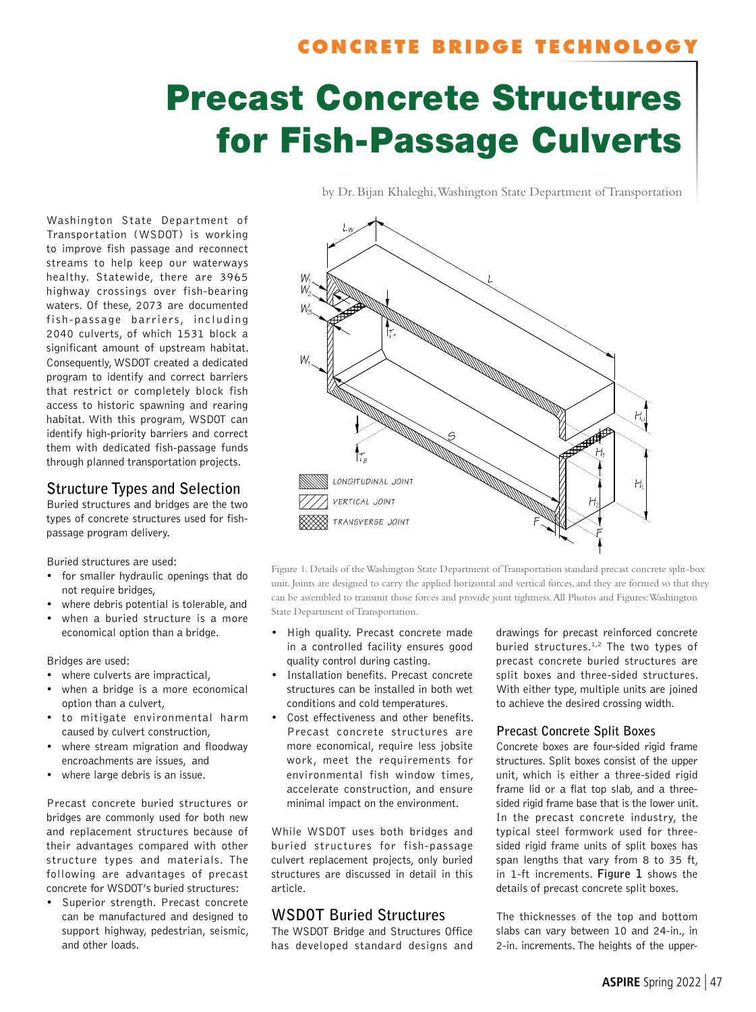# **CONCRETE BRIDGE TECHNOLOGY**

by Dr. Bijan Khaleghi, Washington State Department of Transportation

# Precast Concrete Structures for Fish-Passage Culverts

Washington State Department of Transportation (WSDOT) is working to improve fish passage and reconnect streams to help keep our waterways healthy. Statewide, there are 3965 highway crossings over fish-bearing waters. Of these, 2073 are documented fish-passage barriers, including 2040 culverts, of which 1531 block a significant amount of upstream habitat. Consequently, WSDOT created a dedicated program to identify and correct barriers that restrict or completely block fish access to historic spawning and rearing habitat. With this program, WSDOT can identify high-priority barriers and correct them with dedicated fish-passage funds through planned transportation projects.

## **Structure Types and Selection**

Buried structures and bridges are the two types of concrete structures used for fishpassage program delivery.

Buried structures are used:

- for smaller hydraulic openings that do not require bridges,
- where debris potential is tolerable, and
- when a buried structure is a more economical option than a bridge.

Bridges are used:

- where culverts are impractical,
- when a bridge is a more economical option than a culvert,
- to mitigate environmental harm caused by culvert construction,
- where stream migration and floodway encroachments are issues, and
- where large debris is an issue.

Precast concrete buried structures or bridges are commonly used for both new and replacement structures because of their advantages compared with other structure types and materials. The following are advantages of precast concrete for WSDOT's buried structures:

• Superior strength. Precast concrete can be manufactured and designed to support highway, pedestrian, seismic, and other loads.



Figure 1. Details of the Washington State Department of Transportation standard precast concrete split-box unit. Joints are designed to carry the applied horizontal and vertical forces, and they are formed so that they can be assembled to transmit those forces and provide joint tightness. All Photos and Figures: Washington State Department of Transportation.

- High quality. Precast concrete made in a controlled facility ensures good quality control during casting.
- Installation benefits. Precast concrete structures can be installed in both wet conditions and cold temperatures.
- Cost effectiveness and other benefits. Precast concrete structures are more economical, require less jobsite work, meet the requirements for environmental fish window times, accelerate construction, and ensure minimal impact on the environment.

While WSDOT uses both bridges and buried structures for fish-passage culvert replacement projects, only buried structures are discussed in detail in this article.

# **WSDOT Buried Structures**

The WSDOT Bridge and Structures Office has developed standard designs and drawings for precast reinforced concrete buried structures.1,2 The two types of precast concrete buried structures are split boxes and three-sided structures. With either type, multiple units are joined to achieve the desired crossing width.

#### **Precast Concrete Split Boxes**

Concrete boxes are four-sided rigid frame structures. Split boxes consist of the upper unit, which is either a three-sided rigid frame lid or a flat top slab, and a threesided rigid frame base that is the lower unit. In the precast concrete industry, the typical steel formwork used for threesided rigid frame units of split boxes has span lengths that vary from 8 to 35 ft, in 1-ft increments. **Figure 1** shows the details of precast concrete split boxes.

The thicknesses of the top and bottom slabs can vary between 10 and 24-in., in 2-in. increments. The heights of the upper-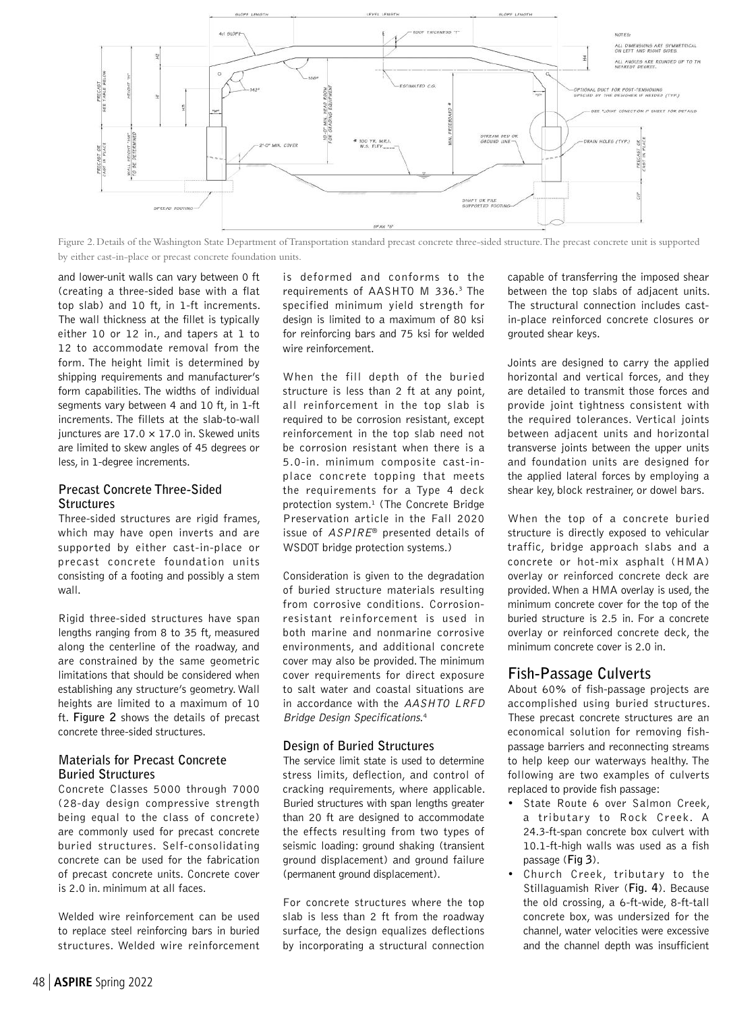

Figure 2. Details of the Washington State Department of Transportation standard precast concrete three-sided structure. The precast concrete unit is supported by either cast-in-place or precast concrete foundation units.

and lower-unit walls can vary between 0 ft (creating a three-sided base with a flat top slab) and 10 ft, in 1-ft increments. The wall thickness at the fillet is typically either 10 or 12 in., and tapers at 1 to 12 to accommodate removal from the form. The height limit is determined by shipping requirements and manufacturer's form capabilities. The widths of individual segments vary between 4 and 10 ft, in 1-ft increments. The fillets at the slab-to-wall junctures are  $17.0 \times 17.0$  in. Skewed units are limited to skew angles of 45 degrees or less, in 1-degree increments.

#### **Precast Concrete Three-Sided Structures**

Three-sided structures are rigid frames, which may have open inverts and are supported by either cast-in-place or precast concrete foundation units consisting of a footing and possibly a stem wall.

Rigid three-sided structures have span lengths ranging from 8 to 35 ft, measured along the centerline of the roadway, and are constrained by the same geometric limitations that should be considered when establishing any structure's geometry. Wall heights are limited to a maximum of 10 ft. **Figure 2** shows the details of precast concrete three-sided structures.

#### **Materials for Precast Concrete Buried Structures**

Concrete Classes 5000 through 7000 (28-day design compressive strength being equal to the class of concrete) are commonly used for precast concrete buried structures. Self-consolidating concrete can be used for the fabrication of precast concrete units. Concrete cover is 2.0 in. minimum at all faces.

Welded wire reinforcement can be used to replace steel reinforcing bars in buried structures. Welded wire reinforcement

is deformed and conforms to the requirements of AASHTO M 336.3 The specified minimum yield strength for design is limited to a maximum of 80 ksi for reinforcing bars and 75 ksi for welded wire reinforcement.

When the fill depth of the buried structure is less than 2 ft at any point, all reinforcement in the top slab is required to be corrosion resistant, except reinforcement in the top slab need not be corrosion resistant when there is a 5.0-in. minimum composite cast-inplace concrete topping that meets the requirements for a Type 4 deck protection system.<sup>1</sup> (The Concrete Bridge Preservation article in the Fall 2020 issue of ASPIRE® presented details of WSDOT bridge protection systems.)

Consideration is given to the degradation of buried structure materials resulting from corrosive conditions. Corrosionresistant reinforcement is used in both marine and nonmarine corrosive environments, and additional concrete cover may also be provided. The minimum cover requirements for direct exposure to salt water and coastal situations are in accordance with the AASHTO LRFD Bridge Design Specifications. 4

#### **Design of Buried Structures**

The service limit state is used to determine stress limits, deflection, and control of cracking requirements, where applicable. Buried structures with span lengths greater than 20 ft are designed to accommodate the effects resulting from two types of seismic loading: ground shaking (transient ground displacement) and ground failure (permanent ground displacement).

For concrete structures where the top slab is less than 2 ft from the roadway surface, the design equalizes deflections by incorporating a structural connection

capable of transferring the imposed shear between the top slabs of adjacent units. The structural connection includes castin-place reinforced concrete closures or grouted shear keys.

Joints are designed to carry the applied horizontal and vertical forces, and they are detailed to transmit those forces and provide joint tightness consistent with the required tolerances. Vertical joints between adjacent units and horizontal transverse joints between the upper units and foundation units are designed for the applied lateral forces by employing a shear key, block restrainer, or dowel bars.

When the top of a concrete buried structure is directly exposed to vehicular traffic, bridge approach slabs and a concrete or hot-mix asphalt (HMA) overlay or reinforced concrete deck are provided. When a HMA overlay is used, the minimum concrete cover for the top of the buried structure is 2.5 in. For a concrete overlay or reinforced concrete deck, the minimum concrete cover is 2.0 in.

# **Fish-Passage Culverts**

About 60% of fish-passage projects are accomplished using buried structures. These precast concrete structures are an economical solution for removing fishpassage barriers and reconnecting streams to help keep our waterways healthy. The following are two examples of culverts replaced to provide fish passage:

- State Route 6 over Salmon Creek, a tributary to Rock Creek. A 24.3-ft-span concrete box culvert with 10.1-ft-high walls was used as a fish passage (**Fig 3**).
- Church Creek, tributary to the Stillaguamish River (**Fig. 4**). Because the old crossing, a 6-ft-wide, 8-ft-tall concrete box, was undersized for the channel, water velocities were excessive and the channel depth was insufficient